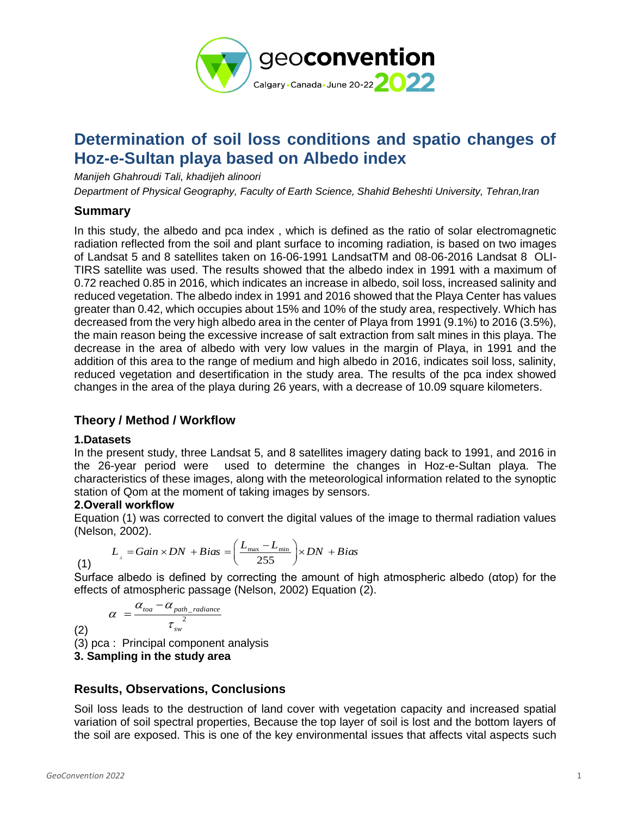

# **Determination of soil loss conditions and spatio changes of Hoz-e-Sultan playa based on Albedo index**

*Manijeh Ghahroudi Tali, khadijeh alinoori*

*Department of Physical Geography, Faculty of Earth Science, Shahid Beheshti University, Tehran,Iran*

### **Summary**

In this study, the albedo and pca index , which is defined as the ratio of solar electromagnetic radiation reflected from the soil and plant surface to incoming radiation, is based on two images of Landsat 5 and 8 satellites taken on 16-06-1991 LandsatTM and 08-06-2016 Landsat 8 OLI-TIRS satellite was used. The results showed that the albedo index in 1991 with a maximum of 0.72 reached 0.85 in 2016, which indicates an increase in albedo, soil loss, increased salinity and reduced vegetation. The albedo index in 1991 and 2016 showed that the Playa Center has values greater than 0.42, which occupies about 15% and 10% of the study area, respectively. Which has decreased from the very high albedo area in the center of Playa from 1991 (9.1%) to 2016 (3.5%), the main reason being the excessive increase of salt extraction from salt mines in this playa. The decrease in the area of albedo with very low values in the margin of Playa, in 1991 and the addition of this area to the range of medium and high albedo in 2016, indicates soil loss, salinity, reduced vegetation and desertification in the study area. The results of the pca index showed changes in the area of the playa during 26 years, with a decrease of 10.09 square kilometers.

## **Theory / Method / Workflow**

#### **1.Datasets**

(1)

(2)

In the present study, three Landsat 5, and 8 satellites imagery dating back to 1991, and 2016 in the 26-year period were used to determine the changes in Hoz-e-Sultan playa. The characteristics of these images, along with the meteorological information related to the synoptic station of Qom at the moment of taking images by sensors.

#### **2.Overall workflow**

Equation (1) was corrected to convert the digital values of the image to thermal radiation values (Nelson, 2002).

$$
L_{\rm r} = Gain \times DN + Bias = \left(\frac{L_{\rm max} - L_{\rm min}}{255}\right) \times DN + Bias
$$

Surface albedo is defined by correcting the amount of high atmospheric albedo (αtop) for the effects of atmospheric passage (Nelson, 2002) Equation (2).

$$
\alpha = \frac{\alpha_{\text{toa}} - \alpha_{\text{path\_radiance}}}{\tau_{\text{sw}}^2}
$$

(3) pca : Principal component analysis

**3. Sampling in the study area**

## **Results, Observations, Conclusions**

Soil loss leads to the destruction of land cover with vegetation capacity and increased spatial variation of soil spectral properties, Because the top layer of soil is lost and the bottom layers of the soil are exposed. This is one of the key environmental issues that affects vital aspects such